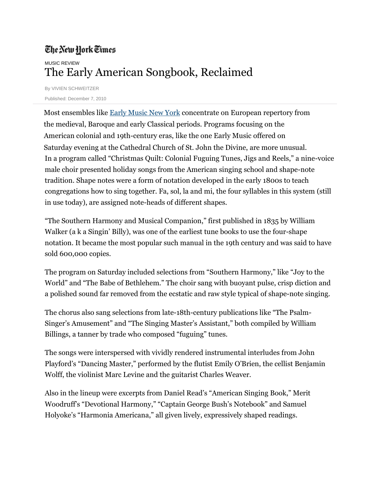## The New York Times MUSIC REVIEW The Early American Songbook, Reclaimed

By VIVIEN SCHWEITZER Published: December 7, 2010

 Most ensembles like [Early Music New York](http://www.earlymusicny.org/index.php) concentrate on European repertory from the medieval, Baroque and early Classical periods. Programs focusing on the American colonial and 19th-century eras, like the one Early Music offered on Saturday evening at the Cathedral Church of St. John the Divine, are more unusual. In a program called "Christmas Quilt: Colonial Fuguing Tunes, Jigs and Reels," a nine-voice male choir presented holiday songs from the American singing school and shape-note tradition. Shape notes were a form of notation developed in the early 1800s to teach congregations how to sing together. Fa, sol, la and mi, the four syllables in this system (still in use today), are assigned note-heads of different shapes.

"The Southern Harmony and Musical Companion," first published in 1835 by William Walker (a k a Singin' Billy), was one of the earliest tune books to use the four-shape notation. It became the most popular such manual in the 19th century and was said to have sold 600,000 copies.

The program on Saturday included selections from "Southern Harmony," like "Joy to the World" and "The Babe of Bethlehem." The choir sang with buoyant pulse, crisp diction and a polished sound far removed from the ecstatic and raw style typical of shape-note singing.

The chorus also sang selections from late-18th-century publications like "The Psalm-Singer's Amusement" and "The Singing Master's Assistant," both compiled by William Billings, a tanner by trade who composed "fuguing" tunes.

The songs were interspersed with vividly rendered instrumental interludes from John Playford's "Dancing Master," performed by the flutist Emily O'Brien, the cellist Benjamin Wolff, the violinist Marc Levine and the guitarist Charles Weaver.

Also in the lineup were excerpts from Daniel Read's "American Singing Book," Merit Woodruff's "Devotional Harmony," "Captain George Bush's Notebook" and Samuel Holyoke's "Harmonia Americana," all given lively, expressively shaped readings.